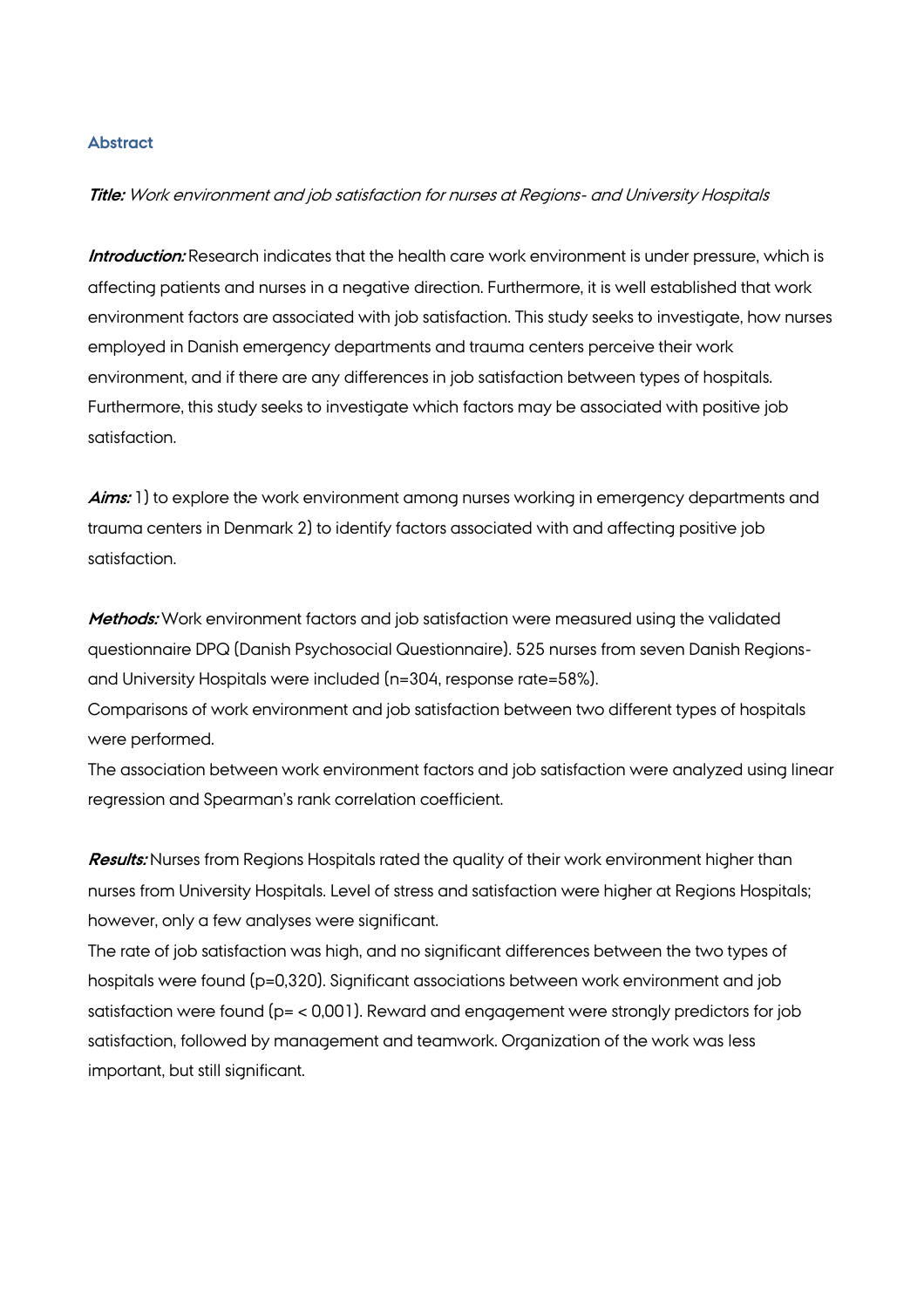## **Abstract**

## **Title:** Work environment and job satisfaction for nurses at Regions- and University Hospitals

**Introduction:** Research indicates that the health care work environment is under pressure, which is affecting patients and nurses in a negative direction. Furthermore, it is well established that work environment factors are associated with job satisfaction. This study seeks to investigate, how nurses employed in Danish emergency departments and trauma centers perceive their work environment, and if there are any differences in job satisfaction between types of hospitals. Furthermore, this study seeks to investigate which factors may be associated with positive job satisfaction.

**Aims:** 1) to explore the work environment among nurses working in emergency departments and trauma centers in Denmark 2) to identify factors associated with and affecting positive job satisfaction.

**Methods:** Work environment factors and job satisfaction were measured using the validated questionnaire DPQ (Danish Psychosocial Questionnaire). 525 nurses from seven Danish Regionsand University Hospitals were included (n=304, response rate=58%).

Comparisons of work environment and job satisfaction between two different types of hospitals were performed.

The association between work environment factors and job satisfaction were analyzed using linear regression and Spearman's rank correlation coefficient.

**Results:** Nurses from Regions Hospitals rated the quality of their work environment higher than nurses from University Hospitals. Level of stress and satisfaction were higher at Regions Hospitals; however, only a few analyses were significant.

The rate of job satisfaction was high, and no significant differences between the two types of hospitals were found (p=0,320). Significant associations between work environment and job satisfaction were found (p= < 0,001). Reward and engagement were strongly predictors for job satisfaction, followed by management and teamwork. Organization of the work was less important, but still significant.